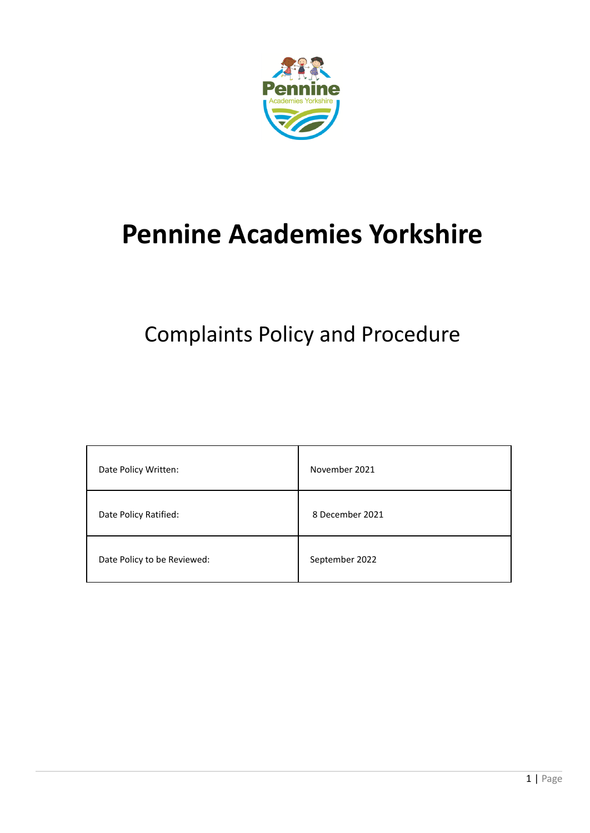

# **Pennine Academies Yorkshire**

# Complaints Policy and Procedure

| Date Policy Written:        | November 2021   |
|-----------------------------|-----------------|
| Date Policy Ratified:       | 8 December 2021 |
| Date Policy to be Reviewed: | September 2022  |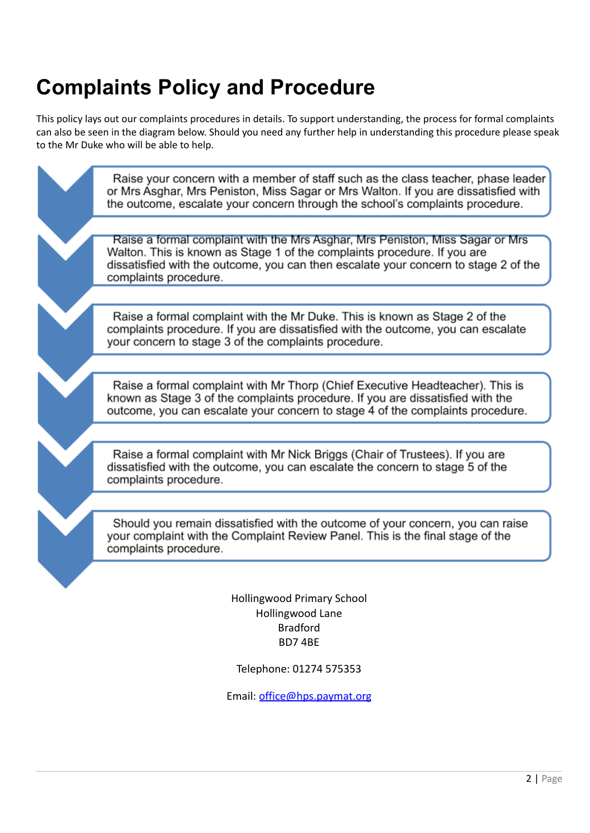# **Complaints Policy and Procedure**

This policy lays out our complaints procedures in details. To support understanding, the process for formal complaints can also be seen in the diagram below. Should you need any further help in understanding this procedure please speak to the Mr Duke who will be able to help.

> Raise your concern with a member of staff such as the class teacher, phase leader or Mrs Asghar, Mrs Peniston, Miss Sagar or Mrs Walton. If you are dissatisfied with the outcome, escalate your concern through the school's complaints procedure.

Raise a formal complaint with the Mrs Asghar, Mrs Peniston, Miss Sagar or Mrs Walton. This is known as Stage 1 of the complaints procedure. If you are dissatisfied with the outcome, you can then escalate your concern to stage 2 of the complaints procedure.

Raise a formal complaint with the Mr Duke. This is known as Stage 2 of the complaints procedure. If you are dissatisfied with the outcome, you can escalate your concern to stage 3 of the complaints procedure.

Raise a formal complaint with Mr Thorp (Chief Executive Headteacher). This is known as Stage 3 of the complaints procedure. If you are dissatisfied with the outcome, you can escalate your concern to stage 4 of the complaints procedure.

Raise a formal complaint with Mr Nick Briggs (Chair of Trustees). If you are dissatisfied with the outcome, you can escalate the concern to stage 5 of the complaints procedure.

Should you remain dissatisfied with the outcome of your concern, you can raise your complaint with the Complaint Review Panel. This is the final stage of the complaints procedure.

> Hollingwood Primary School Hollingwood Lane Bradford BD7 4BE

Telephone: 01274 575353

Email: [office@hps.paymat.org](mailto:office@hps.paymat.org)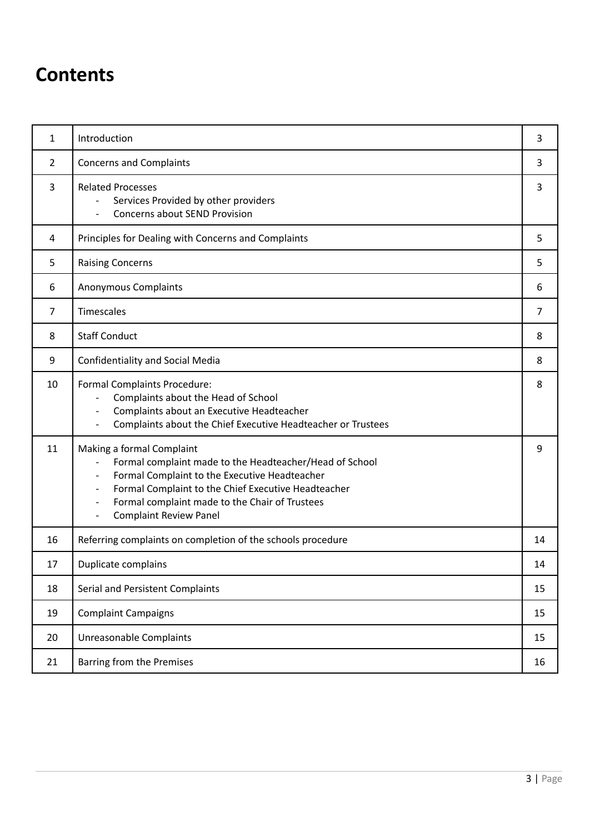# **Contents**

| $\mathbf{1}$   | Introduction                                                                                                                                                                                                                                                                                                                                                                                    | 3              |
|----------------|-------------------------------------------------------------------------------------------------------------------------------------------------------------------------------------------------------------------------------------------------------------------------------------------------------------------------------------------------------------------------------------------------|----------------|
| $\overline{2}$ | <b>Concerns and Complaints</b>                                                                                                                                                                                                                                                                                                                                                                  | 3              |
| 3              | <b>Related Processes</b><br>Services Provided by other providers<br><b>Concerns about SEND Provision</b>                                                                                                                                                                                                                                                                                        | 3              |
| 4              | Principles for Dealing with Concerns and Complaints                                                                                                                                                                                                                                                                                                                                             | 5              |
| 5              | <b>Raising Concerns</b>                                                                                                                                                                                                                                                                                                                                                                         | 5              |
| 6              | <b>Anonymous Complaints</b>                                                                                                                                                                                                                                                                                                                                                                     | 6              |
| $\overline{7}$ | Timescales                                                                                                                                                                                                                                                                                                                                                                                      | $\overline{7}$ |
| 8              | <b>Staff Conduct</b>                                                                                                                                                                                                                                                                                                                                                                            | 8              |
| 9              | <b>Confidentiality and Social Media</b>                                                                                                                                                                                                                                                                                                                                                         | 8              |
| 10             | Formal Complaints Procedure:<br>Complaints about the Head of School<br>Complaints about an Executive Headteacher<br>$\overline{\phantom{a}}$<br>Complaints about the Chief Executive Headteacher or Trustees<br>$\overline{\phantom{a}}$                                                                                                                                                        | 8              |
| 11             | Making a formal Complaint<br>Formal complaint made to the Headteacher/Head of School<br>Formal Complaint to the Executive Headteacher<br>$\overline{\phantom{a}}$<br>Formal Complaint to the Chief Executive Headteacher<br>$\overline{\phantom{a}}$<br>Formal complaint made to the Chair of Trustees<br>$\overline{\phantom{a}}$<br><b>Complaint Review Panel</b><br>$\overline{\phantom{a}}$ | 9              |
| 16             | Referring complaints on completion of the schools procedure                                                                                                                                                                                                                                                                                                                                     | 14             |
| 17             | Duplicate complains                                                                                                                                                                                                                                                                                                                                                                             | 14             |
| 18             | Serial and Persistent Complaints                                                                                                                                                                                                                                                                                                                                                                | 15             |
| 19             | <b>Complaint Campaigns</b>                                                                                                                                                                                                                                                                                                                                                                      | 15             |
| 20             | Unreasonable Complaints                                                                                                                                                                                                                                                                                                                                                                         | 15             |
| 21             | Barring from the Premises                                                                                                                                                                                                                                                                                                                                                                       | 16             |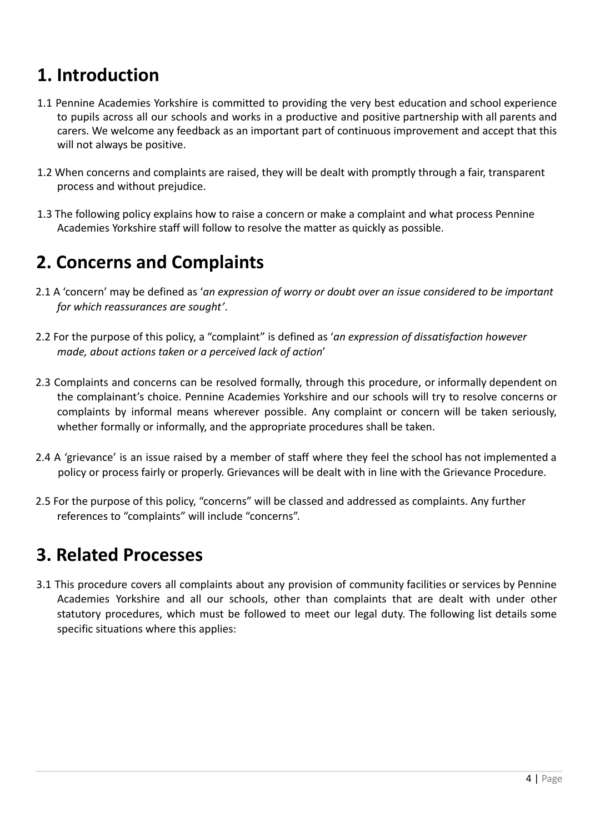# **1. Introduction**

- 1.1 Pennine Academies Yorkshire is committed to providing the very best education and school experience to pupils across all our schools and works in a productive and positive partnership with all parents and carers. We welcome any feedback as an important part of continuous improvement and accept that this will not always be positive.
- 1.2 When concerns and complaints are raised, they will be dealt with promptly through a fair, transparent process and without prejudice.
- 1.3 The following policy explains how to raise a concern or make a complaint and what process Pennine Academies Yorkshire staff will follow to resolve the matter as quickly as possible.

# **2. Concerns and Complaints**

- 2.1 A 'concern' may be defined as '*an expression of worry or doubt over an issue considered to be important for which reassurances are sought'*.
- 2.2 For the purpose of this policy, a "complaint" is defined as '*an expression of dissatisfaction however made, about actions taken or a perceived lack of action*'
- 2.3 Complaints and concerns can be resolved formally, through this procedure, or informally dependent on the complainant's choice. Pennine Academies Yorkshire and our schools will try to resolve concerns or complaints by informal means wherever possible. Any complaint or concern will be taken seriously, whether formally or informally, and the appropriate procedures shall be taken.
- 2.4 A 'grievance' is an issue raised by a member of staff where they feel the school has not implemented a policy or process fairly or properly. Grievances will be dealt with in line with the Grievance Procedure.
- 2.5 For the purpose of this policy, "concerns" will be classed and addressed as complaints. Any further references to "complaints" will include "concerns".

# **3. Related Processes**

3.1 This procedure covers all complaints about any provision of community facilities or services by Pennine Academies Yorkshire and all our schools, other than complaints that are dealt with under other statutory procedures, which must be followed to meet our legal duty. The following list details some specific situations where this applies: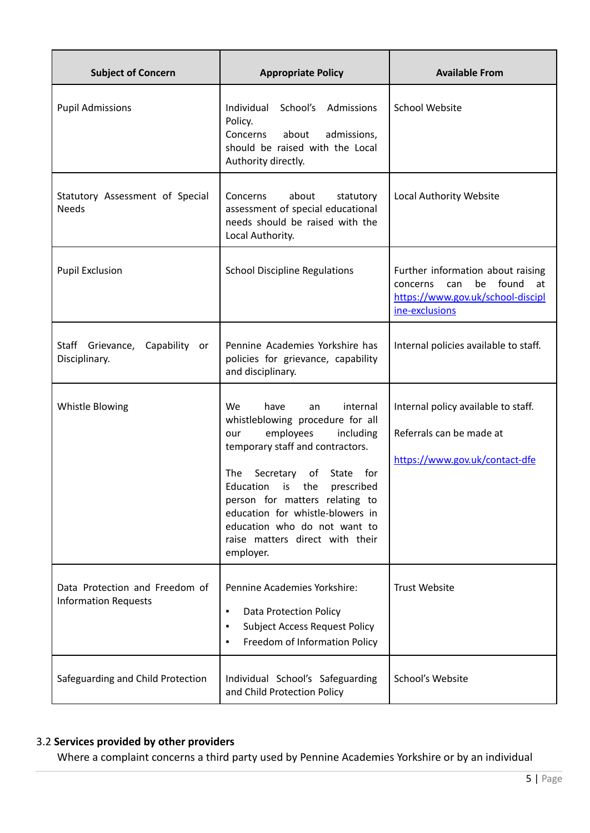| <b>Subject of Concern</b>                                     | <b>Appropriate Policy</b>                                                                                                                                                                                                                                                                                                                                                     | <b>Available From</b>                                                                                                            |
|---------------------------------------------------------------|-------------------------------------------------------------------------------------------------------------------------------------------------------------------------------------------------------------------------------------------------------------------------------------------------------------------------------------------------------------------------------|----------------------------------------------------------------------------------------------------------------------------------|
| <b>Pupil Admissions</b>                                       | Individual School's Admissions<br>Policy.<br>Concerns<br>about<br>admissions,<br>should be raised with the Local<br>Authority directly.                                                                                                                                                                                                                                       | <b>School Website</b>                                                                                                            |
| Statutory Assessment of Special<br><b>Needs</b>               | Concerns<br>about<br>statutory<br>assessment of special educational<br>needs should be raised with the<br>Local Authority.                                                                                                                                                                                                                                                    | Local Authority Website                                                                                                          |
| <b>Pupil Exclusion</b>                                        | <b>School Discipline Regulations</b>                                                                                                                                                                                                                                                                                                                                          | Further information about raising<br>found<br>be<br>concerns<br>can<br>at<br>https://www.gov.uk/school-discipl<br>ine-exclusions |
| Staff Grievance,<br>Capability<br>or<br>Disciplinary.         | Pennine Academies Yorkshire has<br>policies for grievance, capability<br>and disciplinary.                                                                                                                                                                                                                                                                                    | Internal policies available to staff.                                                                                            |
| Whistle Blowing                                               | internal<br>We<br>have<br>an<br>whistleblowing procedure for all<br>employees<br>including<br>our<br>temporary staff and contractors.<br>Secretary<br>for<br>The<br>of<br>State<br>Education<br>prescribed<br>is<br>the<br>person for matters relating to<br>education for whistle-blowers in<br>education who do not want to<br>raise matters direct with their<br>employer. | Internal policy available to staff.<br>Referrals can be made at<br>https://www.gov.uk/contact-dfe                                |
| Data Protection and Freedom of<br><b>Information Requests</b> | Pennine Academies Yorkshire:<br><b>Data Protection Policy</b><br>٠<br><b>Subject Access Request Policy</b><br>٠<br>Freedom of Information Policy<br>٠                                                                                                                                                                                                                         | <b>Trust Website</b>                                                                                                             |
| Safeguarding and Child Protection                             | Individual School's Safeguarding<br>and Child Protection Policy                                                                                                                                                                                                                                                                                                               | School's Website                                                                                                                 |

#### 3.2 **Services provided by other providers**

Where a complaint concerns a third party used by Pennine Academies Yorkshire or by an individual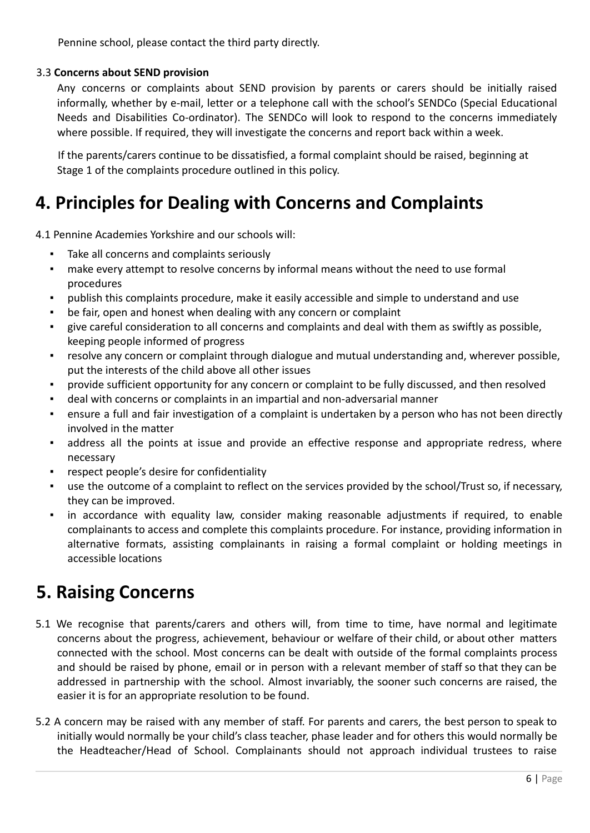Pennine school, please contact the third party directly.

#### 3.3 **Concerns about SEND provision**

Any concerns or complaints about SEND provision by parents or carers should be initially raised informally, whether by e-mail, letter or a telephone call with the school's SENDCo (Special Educational Needs and Disabilities Co-ordinator). The SENDCo will look to respond to the concerns immediately where possible. If required, they will investigate the concerns and report back within a week.

If the parents/carers continue to be dissatisfied, a formal complaint should be raised, beginning at Stage 1 of the complaints procedure outlined in this policy.

# **4. Principles for Dealing with Concerns and Complaints**

4.1 Pennine Academies Yorkshire and our schools will:

- Take all concerns and complaints seriously
- make every attempt to resolve concerns by informal means without the need to use formal procedures
- publish this complaints procedure, make it easily accessible and simple to understand and use
- be fair, open and honest when dealing with any concern or complaint
- give careful consideration to all concerns and complaints and deal with them as swiftly as possible, keeping people informed of progress
- resolve any concern or complaint through dialogue and mutual understanding and, wherever possible, put the interests of the child above all other issues
- provide sufficient opportunity for any concern or complaint to be fully discussed, and then resolved
- deal with concerns or complaints in an impartial and non-adversarial manner
- ensure a full and fair investigation of a complaint is undertaken by a person who has not been directly involved in the matter
- address all the points at issue and provide an effective response and appropriate redress, where necessary
- respect people's desire for confidentiality
- use the outcome of a complaint to reflect on the services provided by the school/Trust so, if necessary, they can be improved.
- in accordance with equality law, consider making reasonable adjustments if required, to enable complainants to access and complete this complaints procedure. For instance, providing information in alternative formats, assisting complainants in raising a formal complaint or holding meetings in accessible locations

# **5. Raising Concerns**

- 5.1 We recognise that parents/carers and others will, from time to time, have normal and legitimate concerns about the progress, achievement, behaviour or welfare of their child, or about other matters connected with the school. Most concerns can be dealt with outside of the formal complaints process and should be raised by phone, email or in person with a relevant member of staff so that they can be addressed in partnership with the school. Almost invariably, the sooner such concerns are raised, the easier it is for an appropriate resolution to be found.
- 5.2 A concern may be raised with any member of staff. For parents and carers, the best person to speak to initially would normally be your child's class teacher, phase leader and for others this would normally be the Headteacher/Head of School. Complainants should not approach individual trustees to raise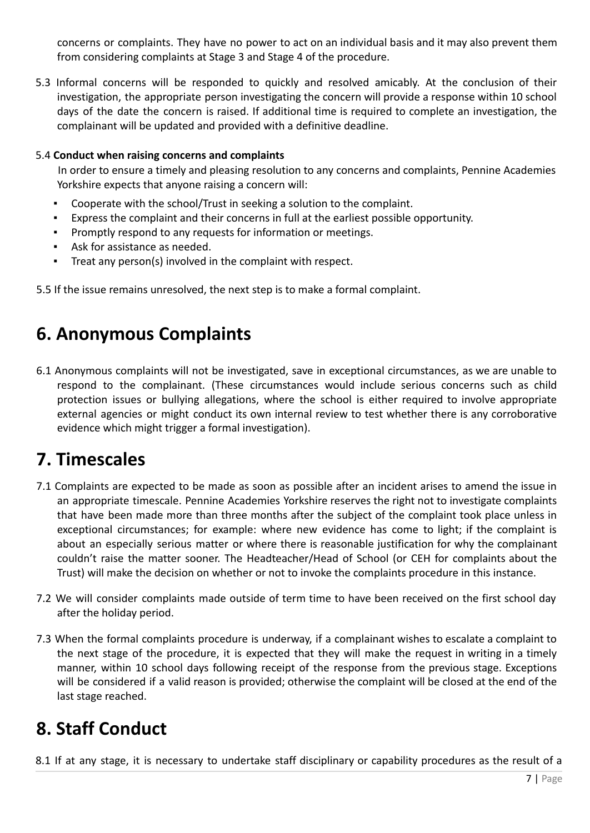concerns or complaints. They have no power to act on an individual basis and it may also prevent them from considering complaints at Stage 3 and Stage 4 of the procedure.

5.3 Informal concerns will be responded to quickly and resolved amicably. At the conclusion of their investigation, the appropriate person investigating the concern will provide a response within 10 school days of the date the concern is raised. If additional time is required to complete an investigation, the complainant will be updated and provided with a definitive deadline.

#### 5.4 **Conduct when raising concerns and complaints**

In order to ensure a timely and pleasing resolution to any concerns and complaints, Pennine Academies Yorkshire expects that anyone raising a concern will:

- Cooperate with the school/Trust in seeking a solution to the complaint.
- Express the complaint and their concerns in full at the earliest possible opportunity.
- Promptly respond to any requests for information or meetings.
- Ask for assistance as needed.
- Treat any person(s) involved in the complaint with respect.

5.5 If the issue remains unresolved, the next step is to make a formal complaint.

# **6. Anonymous Complaints**

6.1 Anonymous complaints will not be investigated, save in exceptional circumstances, as we are unable to respond to the complainant. (These circumstances would include serious concerns such as child protection issues or bullying allegations, where the school is either required to involve appropriate external agencies or might conduct its own internal review to test whether there is any corroborative evidence which might trigger a formal investigation).

### **7. Timescales**

- 7.1 Complaints are expected to be made as soon as possible after an incident arises to amend the issue in an appropriate timescale. Pennine Academies Yorkshire reserves the right not to investigate complaints that have been made more than three months after the subject of the complaint took place unless in exceptional circumstances; for example: where new evidence has come to light; if the complaint is about an especially serious matter or where there is reasonable justification for why the complainant couldn't raise the matter sooner. The Headteacher/Head of School (or CEH for complaints about the Trust) will make the decision on whether or not to invoke the complaints procedure in this instance.
- 7.2 We will consider complaints made outside of term time to have been received on the first school day after the holiday period.
- 7.3 When the formal complaints procedure is underway, if a complainant wishes to escalate a complaint to the next stage of the procedure, it is expected that they will make the request in writing in a timely manner, within 10 school days following receipt of the response from the previous stage. Exceptions will be considered if a valid reason is provided; otherwise the complaint will be closed at the end of the last stage reached.

# **8. Staff Conduct**

8.1 If at any stage, it is necessary to undertake staff disciplinary or capability procedures as the result of a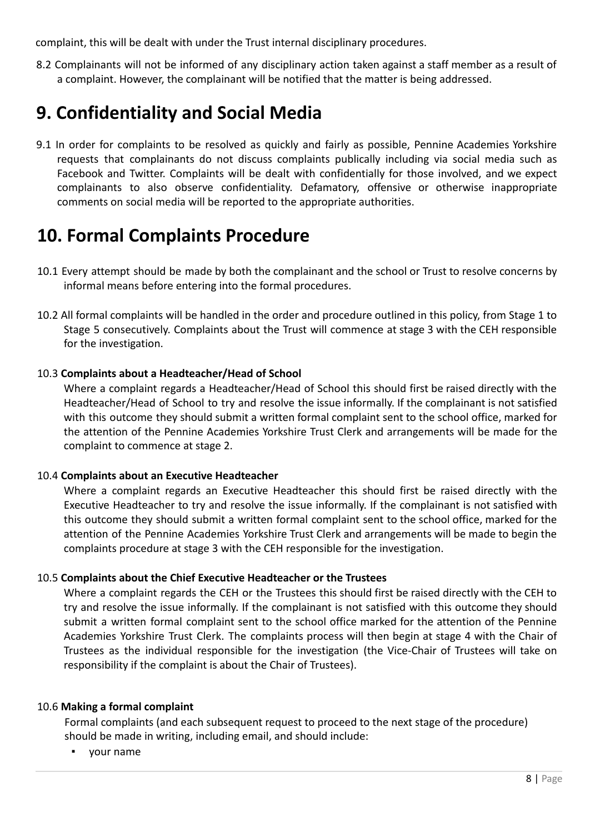complaint, this will be dealt with under the Trust internal disciplinary procedures.

8.2 Complainants will not be informed of any disciplinary action taken against a staff member as a result of a complaint. However, the complainant will be notified that the matter is being addressed.

# **9. Confidentiality and Social Media**

9.1 In order for complaints to be resolved as quickly and fairly as possible, Pennine Academies Yorkshire requests that complainants do not discuss complaints publically including via social media such as Facebook and Twitter. Complaints will be dealt with confidentially for those involved, and we expect complainants to also observe confidentiality. Defamatory, offensive or otherwise inappropriate comments on social media will be reported to the appropriate authorities.

### **10. Formal Complaints Procedure**

- 10.1 Every attempt should be made by both the complainant and the school or Trust to resolve concerns by informal means before entering into the formal procedures.
- 10.2 All formal complaints will be handled in the order and procedure outlined in this policy, from Stage 1 to Stage 5 consecutively. Complaints about the Trust will commence at stage 3 with the CEH responsible for the investigation.

#### 10.3 **Complaints about a Headteacher/Head of School**

Where a complaint regards a Headteacher/Head of School this should first be raised directly with the Headteacher/Head of School to try and resolve the issue informally. If the complainant is not satisfied with this outcome they should submit a written formal complaint sent to the school office, marked for the attention of the Pennine Academies Yorkshire Trust Clerk and arrangements will be made for the complaint to commence at stage 2.

#### 10.4 **Complaints about an Executive Headteacher**

Where a complaint regards an Executive Headteacher this should first be raised directly with the Executive Headteacher to try and resolve the issue informally. If the complainant is not satisfied with this outcome they should submit a written formal complaint sent to the school office, marked for the attention of the Pennine Academies Yorkshire Trust Clerk and arrangements will be made to begin the complaints procedure at stage 3 with the CEH responsible for the investigation.

#### 10.5 **Complaints about the Chief Executive Headteacher or the Trustees**

Where a complaint regards the CEH or the Trustees this should first be raised directly with the CEH to try and resolve the issue informally. If the complainant is not satisfied with this outcome they should submit a written formal complaint sent to the school office marked for the attention of the Pennine Academies Yorkshire Trust Clerk. The complaints process will then begin at stage 4 with the Chair of Trustees as the individual responsible for the investigation (the Vice-Chair of Trustees will take on responsibility if the complaint is about the Chair of Trustees).

#### 10.6 **Making a formal complaint**

Formal complaints (and each subsequent request to proceed to the next stage of the procedure) should be made in writing, including email, and should include:

▪ your name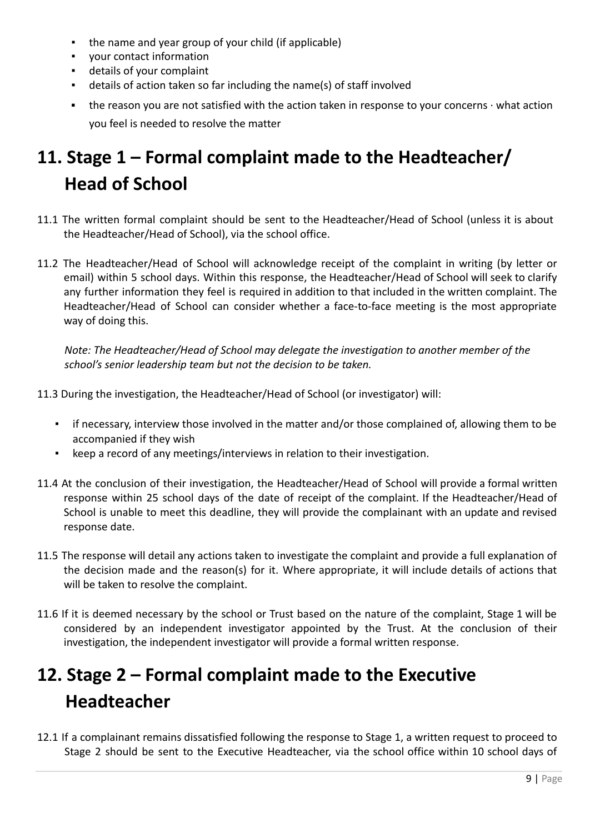- the name and year group of your child (if applicable)
- your contact information
- details of your complaint
- details of action taken so far including the name(s) of staff involved
- the reason you are not satisfied with the action taken in response to your concerns ∙ what action you feel is needed to resolve the matter

# **11. Stage 1 – Formal complaint made to the Headteacher/ Head of School**

- 11.1 The written formal complaint should be sent to the Headteacher/Head of School (unless it is about the Headteacher/Head of School), via the school office.
- 11.2 The Headteacher/Head of School will acknowledge receipt of the complaint in writing (by letter or email) within 5 school days. Within this response, the Headteacher/Head of School will seek to clarify any further information they feel is required in addition to that included in the written complaint. The Headteacher/Head of School can consider whether a face-to-face meeting is the most appropriate way of doing this.

*Note: The Headteacher/Head of School may delegate the investigation to another member of the school's senior leadership team but not the decision to be taken.*

- 11.3 During the investigation, the Headteacher/Head of School (or investigator) will:
	- **•** if necessary, interview those involved in the matter and/or those complained of, allowing them to be accompanied if they wish
	- keep a record of any meetings/interviews in relation to their investigation.
- 11.4 At the conclusion of their investigation, the Headteacher/Head of School will provide a formal written response within 25 school days of the date of receipt of the complaint. If the Headteacher/Head of School is unable to meet this deadline, they will provide the complainant with an update and revised response date.
- 11.5 The response will detail any actions taken to investigate the complaint and provide a full explanation of the decision made and the reason(s) for it. Where appropriate, it will include details of actions that will be taken to resolve the complaint.
- 11.6 If it is deemed necessary by the school or Trust based on the nature of the complaint, Stage 1 will be considered by an independent investigator appointed by the Trust. At the conclusion of their investigation, the independent investigator will provide a formal written response.

# **12. Stage 2 – Formal complaint made to the Executive Headteacher**

12.1 If a complainant remains dissatisfied following the response to Stage 1, a written request to proceed to Stage 2 should be sent to the Executive Headteacher, via the school office within 10 school days of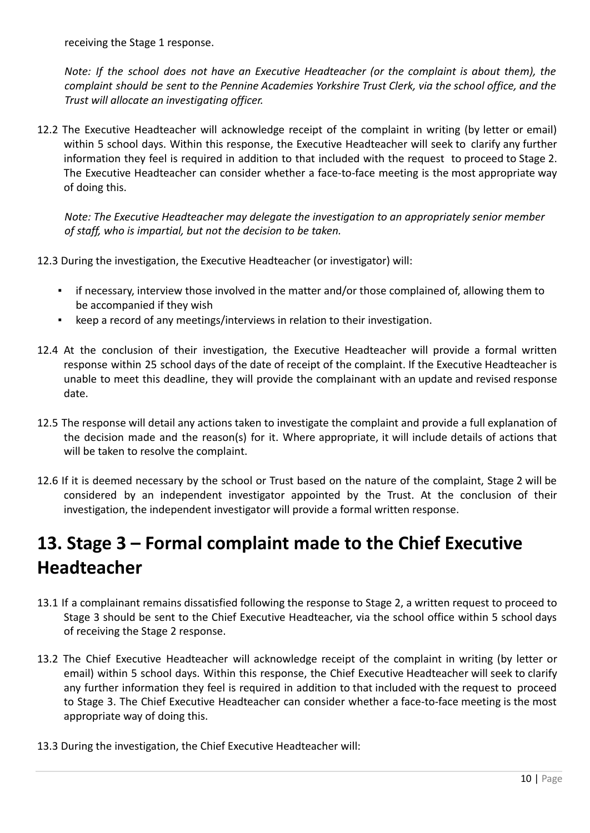receiving the Stage 1 response.

*Note: If the school does not have an Executive Headteacher (or the complaint is about them), the complaint should be sent to the Pennine Academies Yorkshire Trust Clerk, via the school office, and the Trust will allocate an investigating officer.*

12.2 The Executive Headteacher will acknowledge receipt of the complaint in writing (by letter or email) within 5 school days. Within this response, the Executive Headteacher will seek to clarify any further information they feel is required in addition to that included with the request to proceed to Stage 2. The Executive Headteacher can consider whether a face-to-face meeting is the most appropriate way of doing this.

*Note: The Executive Headteacher may delegate the investigation to an appropriately senior member of staff, who is impartial, but not the decision to be taken.*

- 12.3 During the investigation, the Executive Headteacher (or investigator) will:
	- if necessary, interview those involved in the matter and/or those complained of, allowing them to be accompanied if they wish
	- keep a record of any meetings/interviews in relation to their investigation.
- 12.4 At the conclusion of their investigation, the Executive Headteacher will provide a formal written response within 25 school days of the date of receipt of the complaint. If the Executive Headteacher is unable to meet this deadline, they will provide the complainant with an update and revised response date.
- 12.5 The response will detail any actions taken to investigate the complaint and provide a full explanation of the decision made and the reason(s) for it. Where appropriate, it will include details of actions that will be taken to resolve the complaint.
- 12.6 If it is deemed necessary by the school or Trust based on the nature of the complaint, Stage 2 will be considered by an independent investigator appointed by the Trust. At the conclusion of their investigation, the independent investigator will provide a formal written response.

# **13. Stage 3 – Formal complaint made to the Chief Executive Headteacher**

- 13.1 If a complainant remains dissatisfied following the response to Stage 2, a written request to proceed to Stage 3 should be sent to the Chief Executive Headteacher, via the school office within 5 school days of receiving the Stage 2 response.
- 13.2 The Chief Executive Headteacher will acknowledge receipt of the complaint in writing (by letter or email) within 5 school days. Within this response, the Chief Executive Headteacher will seek to clarify any further information they feel is required in addition to that included with the request to proceed to Stage 3. The Chief Executive Headteacher can consider whether a face-to-face meeting is the most appropriate way of doing this.
- 13.3 During the investigation, the Chief Executive Headteacher will: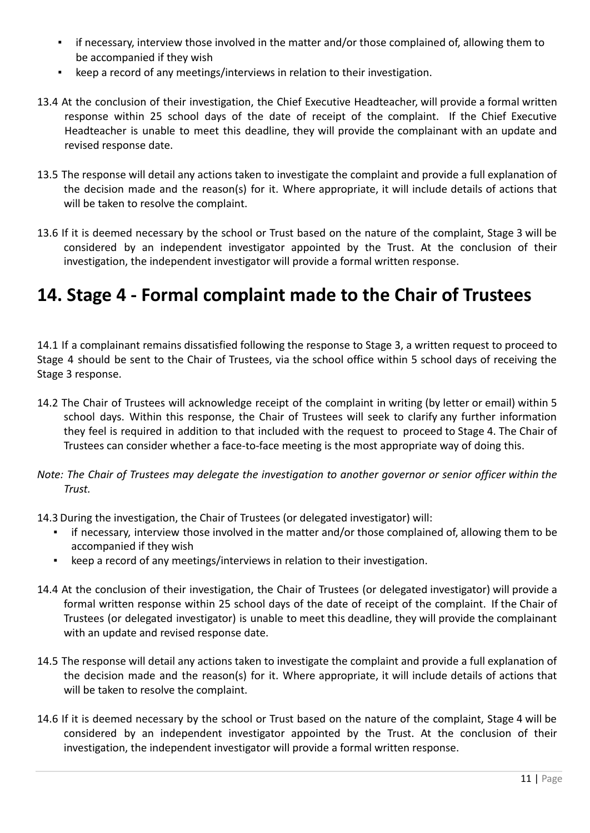- **•** if necessary, interview those involved in the matter and/or those complained of, allowing them to be accompanied if they wish
- keep a record of any meetings/interviews in relation to their investigation.
- 13.4 At the conclusion of their investigation, the Chief Executive Headteacher, will provide a formal written response within 25 school days of the date of receipt of the complaint. If the Chief Executive Headteacher is unable to meet this deadline, they will provide the complainant with an update and revised response date.
- 13.5 The response will detail any actions taken to investigate the complaint and provide a full explanation of the decision made and the reason(s) for it. Where appropriate, it will include details of actions that will be taken to resolve the complaint.
- 13.6 If it is deemed necessary by the school or Trust based on the nature of the complaint, Stage 3 will be considered by an independent investigator appointed by the Trust. At the conclusion of their investigation, the independent investigator will provide a formal written response.

### **14. Stage 4 - Formal complaint made to the Chair of Trustees**

14.1 If a complainant remains dissatisfied following the response to Stage 3, a written request to proceed to Stage 4 should be sent to the Chair of Trustees, via the school office within 5 school days of receiving the Stage 3 response.

- 14.2 The Chair of Trustees will acknowledge receipt of the complaint in writing (by letter or email) within 5 school days. Within this response, the Chair of Trustees will seek to clarify any further information they feel is required in addition to that included with the request to proceed to Stage 4. The Chair of Trustees can consider whether a face-to-face meeting is the most appropriate way of doing this.
- Note: The Chair of Trustees may delegate the investigation to another governor or senior officer within the *Trust.*
- 14.3 During the investigation, the Chair of Trustees (or delegated investigator) will:
	- if necessary, interview those involved in the matter and/or those complained of, allowing them to be accompanied if they wish
	- keep a record of any meetings/interviews in relation to their investigation.
- 14.4 At the conclusion of their investigation, the Chair of Trustees (or delegated investigator) will provide a formal written response within 25 school days of the date of receipt of the complaint. If the Chair of Trustees (or delegated investigator) is unable to meet this deadline, they will provide the complainant with an update and revised response date.
- 14.5 The response will detail any actions taken to investigate the complaint and provide a full explanation of the decision made and the reason(s) for it. Where appropriate, it will include details of actions that will be taken to resolve the complaint.
- 14.6 If it is deemed necessary by the school or Trust based on the nature of the complaint, Stage 4 will be considered by an independent investigator appointed by the Trust. At the conclusion of their investigation, the independent investigator will provide a formal written response.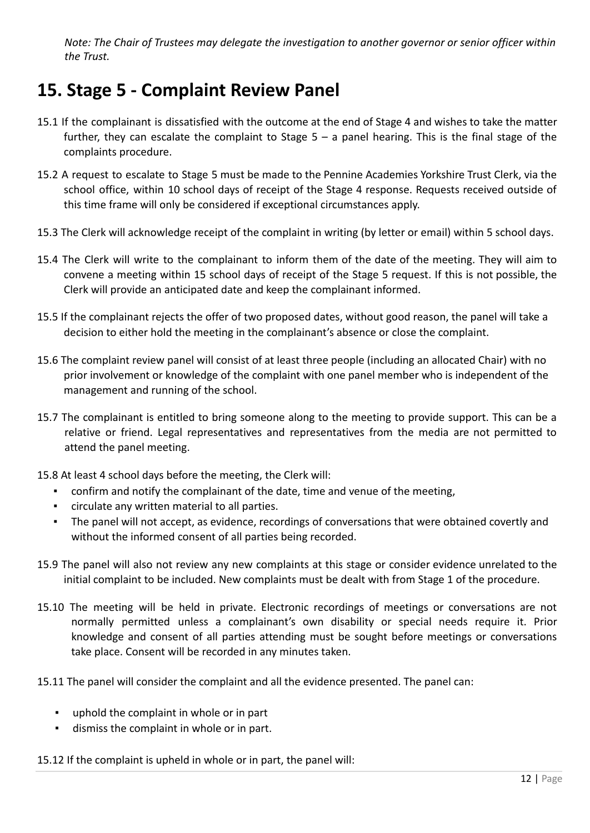*Note: The Chair of Trustees may delegate the investigation to another governor or senior officer within the Trust.*

# **15. Stage 5 - Complaint Review Panel**

- 15.1 If the complainant is dissatisfied with the outcome at the end of Stage 4 and wishes to take the matter further, they can escalate the complaint to Stage  $5 - a$  panel hearing. This is the final stage of the complaints procedure.
- 15.2 A request to escalate to Stage 5 must be made to the Pennine Academies Yorkshire Trust Clerk, via the school office, within 10 school days of receipt of the Stage 4 response. Requests received outside of this time frame will only be considered if exceptional circumstances apply.
- 15.3 The Clerk will acknowledge receipt of the complaint in writing (by letter or email) within 5 school days.
- 15.4 The Clerk will write to the complainant to inform them of the date of the meeting. They will aim to convene a meeting within 15 school days of receipt of the Stage 5 request. If this is not possible, the Clerk will provide an anticipated date and keep the complainant informed.
- 15.5 If the complainant rejects the offer of two proposed dates, without good reason, the panel will take a decision to either hold the meeting in the complainant's absence or close the complaint.
- 15.6 The complaint review panel will consist of at least three people (including an allocated Chair) with no prior involvement or knowledge of the complaint with one panel member who is independent of the management and running of the school.
- 15.7 The complainant is entitled to bring someone along to the meeting to provide support. This can be a relative or friend. Legal representatives and representatives from the media are not permitted to attend the panel meeting.
- 15.8 At least 4 school days before the meeting, the Clerk will:
	- confirm and notify the complainant of the date, time and venue of the meeting,
	- circulate any written material to all parties.
	- The panel will not accept, as evidence, recordings of conversations that were obtained covertly and without the informed consent of all parties being recorded.
- 15.9 The panel will also not review any new complaints at this stage or consider evidence unrelated to the initial complaint to be included. New complaints must be dealt with from Stage 1 of the procedure.
- 15.10 The meeting will be held in private. Electronic recordings of meetings or conversations are not normally permitted unless a complainant's own disability or special needs require it. Prior knowledge and consent of all parties attending must be sought before meetings or conversations take place. Consent will be recorded in any minutes taken.
- 15.11 The panel will consider the complaint and all the evidence presented. The panel can:
	- uphold the complaint in whole or in part
	- dismiss the complaint in whole or in part.
- 15.12 If the complaint is upheld in whole or in part, the panel will: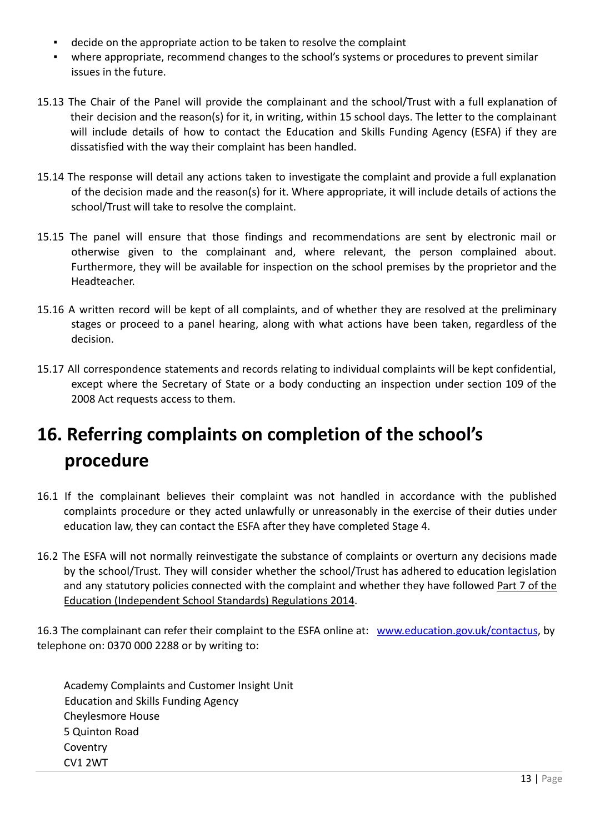- decide on the appropriate action to be taken to resolve the complaint
- where appropriate, recommend changes to the school's systems or procedures to prevent similar issues in the future.
- 15.13 The Chair of the Panel will provide the complainant and the school/Trust with a full explanation of their decision and the reason(s) for it, in writing, within 15 school days. The letter to the complainant will include details of how to contact the Education and Skills Funding Agency (ESFA) if they are dissatisfied with the way their complaint has been handled.
- 15.14 The response will detail any actions taken to investigate the complaint and provide a full explanation of the decision made and the reason(s) for it. Where appropriate, it will include details of actions the school/Trust will take to resolve the complaint.
- 15.15 The panel will ensure that those findings and recommendations are sent by electronic mail or otherwise given to the complainant and, where relevant, the person complained about. Furthermore, they will be available for inspection on the school premises by the proprietor and the Headteacher.
- 15.16 A written record will be kept of all complaints, and of whether they are resolved at the preliminary stages or proceed to a panel hearing, along with what actions have been taken, regardless of the decision.
- 15.17 All correspondence statements and records relating to individual complaints will be kept confidential, except where the Secretary of State or a body conducting an inspection under section 109 of the 2008 Act requests access to them.

# **16. Referring complaints on completion of the school's procedure**

- 16.1 If the complainant believes their complaint was not handled in accordance with the published complaints procedure or they acted unlawfully or unreasonably in the exercise of their duties under education law, they can contact the ESFA after they have completed Stage 4.
- 16.2 The ESFA will not normally reinvestigate the substance of complaints or overturn any decisions made by the school/Trust. They will consider whether the school/Trust has adhered to education legislation and any statutory policies connected with the complaint and whether they have followed Part 7 of the Education (Independent School Standards) Regulations 2014.

16.3 The complainant can refer their complaint to the ESFA online at: www.education.gov.uk/contactus, by telephone on: 0370 000 2288 or by writing to:

Academy Complaints and Customer Insight Unit Education and Skills Funding Agency Cheylesmore House 5 Quinton Road Coventry CV1 2WT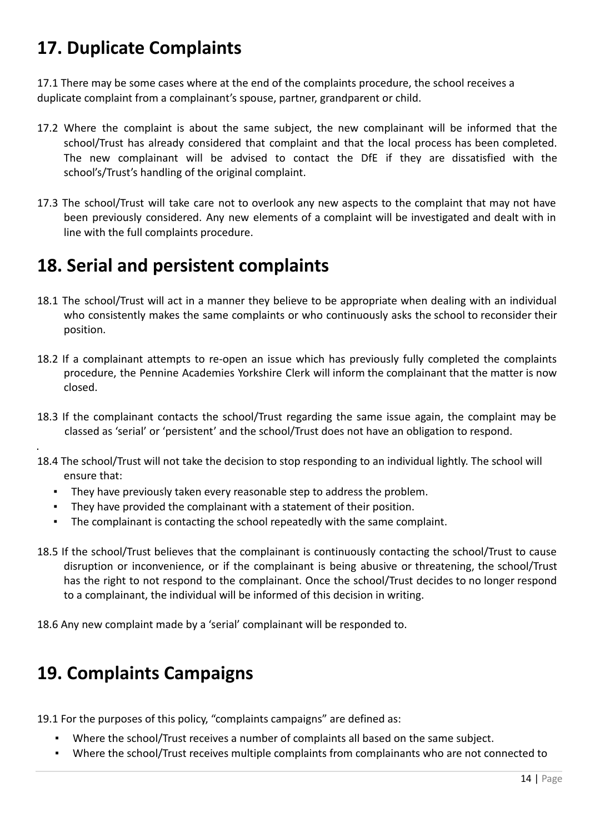# **17. Duplicate Complaints**

17.1 There may be some cases where at the end of the complaints procedure, the school receives a duplicate complaint from a complainant's spouse, partner, grandparent or child.

- 17.2 Where the complaint is about the same subject, the new complainant will be informed that the school/Trust has already considered that complaint and that the local process has been completed. The new complainant will be advised to contact the DfE if they are dissatisfied with the school's/Trust's handling of the original complaint.
- 17.3 The school/Trust will take care not to overlook any new aspects to the complaint that may not have been previously considered. Any new elements of a complaint will be investigated and dealt with in line with the full complaints procedure.

# **18. Serial and persistent complaints**

- 18.1 The school/Trust will act in a manner they believe to be appropriate when dealing with an individual who consistently makes the same complaints or who continuously asks the school to reconsider their position.
- 18.2 If a complainant attempts to re-open an issue which has previously fully completed the complaints procedure, the Pennine Academies Yorkshire Clerk will inform the complainant that the matter is now closed.
- 18.3 If the complainant contacts the school/Trust regarding the same issue again, the complaint may be classed as 'serial' or 'persistent' and the school/Trust does not have an obligation to respond.
- 18.4 The school/Trust will not take the decision to stop responding to an individual lightly. The school will ensure that:
	- They have previously taken every reasonable step to address the problem.
	- They have provided the complainant with a statement of their position.
	- The complainant is contacting the school repeatedly with the same complaint.
- 18.5 If the school/Trust believes that the complainant is continuously contacting the school/Trust to cause disruption or inconvenience, or if the complainant is being abusive or threatening, the school/Trust has the right to not respond to the complainant. Once the school/Trust decides to no longer respond to a complainant, the individual will be informed of this decision in writing.

18.6 Any new complaint made by a 'serial' complainant will be responded to.

# **19. Complaints Campaigns**

.

19.1 For the purposes of this policy, "complaints campaigns" are defined as:

- Where the school/Trust receives a number of complaints all based on the same subject.
- Where the school/Trust receives multiple complaints from complainants who are not connected to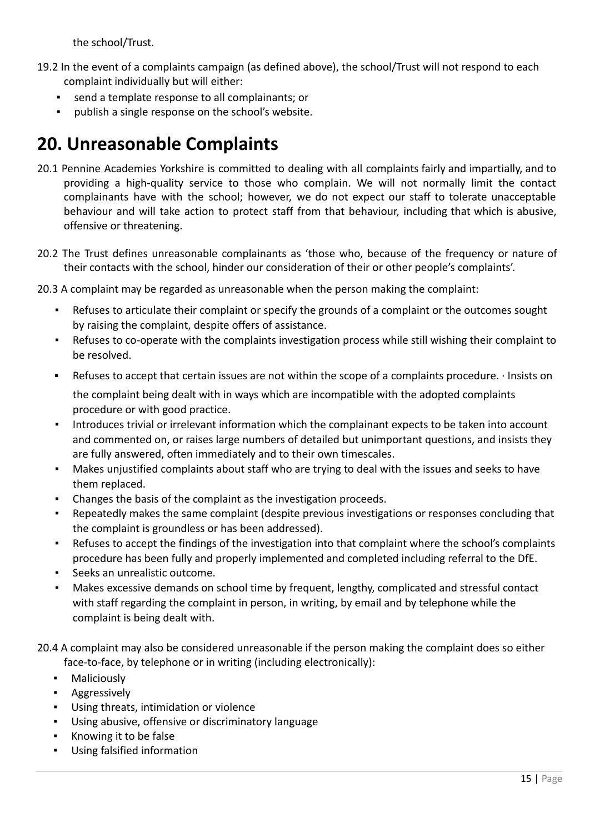the school/Trust.

- 19.2 In the event of a complaints campaign (as defined above), the school/Trust will not respond to each complaint individually but will either:
	- send a template response to all complainants; or
	- publish a single response on the school's website.

# **20. Unreasonable Complaints**

- 20.1 Pennine Academies Yorkshire is committed to dealing with all complaints fairly and impartially, and to providing a high-quality service to those who complain. We will not normally limit the contact complainants have with the school; however, we do not expect our staff to tolerate unacceptable behaviour and will take action to protect staff from that behaviour, including that which is abusive, offensive or threatening.
- 20.2 The Trust defines unreasonable complainants as 'those who, because of the frequency or nature of their contacts with the school, hinder our consideration of their or other people's complaints'.
- 20.3 A complaint may be regarded as unreasonable when the person making the complaint:
	- Refuses to articulate their complaint or specify the grounds of a complaint or the outcomes sought by raising the complaint, despite offers of assistance.
	- Refuses to co-operate with the complaints investigation process while still wishing their complaint to be resolved.
	- Refuses to accept that certain issues are not within the scope of a complaints procedure. ∙ Insists on the complaint being dealt with in ways which are incompatible with the adopted complaints procedure or with good practice.
	- Introduces trivial or irrelevant information which the complainant expects to be taken into account and commented on, or raises large numbers of detailed but unimportant questions, and insists they are fully answered, often immediately and to their own timescales.
	- Makes unjustified complaints about staff who are trying to deal with the issues and seeks to have them replaced.
	- Changes the basis of the complaint as the investigation proceeds.
	- Repeatedly makes the same complaint (despite previous investigations or responses concluding that the complaint is groundless or has been addressed).
	- Refuses to accept the findings of the investigation into that complaint where the school's complaints procedure has been fully and properly implemented and completed including referral to the DfE.
	- Seeks an unrealistic outcome.
	- Makes excessive demands on school time by frequent, lengthy, complicated and stressful contact with staff regarding the complaint in person, in writing, by email and by telephone while the complaint is being dealt with.
- 20.4 A complaint may also be considered unreasonable if the person making the complaint does so either face-to-face, by telephone or in writing (including electronically):
	- Maliciously
	- Aggressively
	- Using threats, intimidation or violence
	- Using abusive, offensive or discriminatory language
	- Knowing it to be false
	- Using falsified information